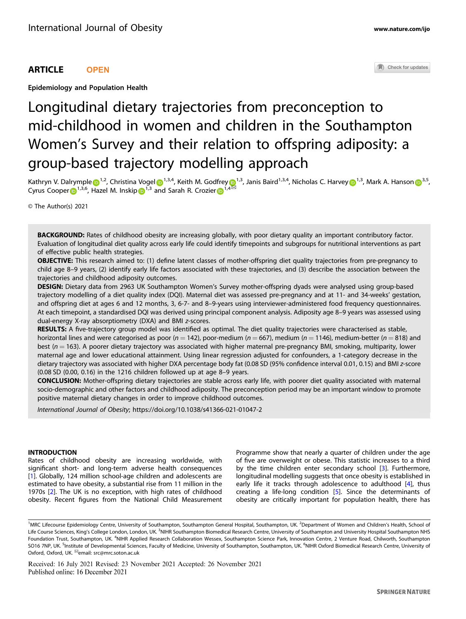Epidemiology and Population Health

# Longitudinal dietary trajectories from preconception to mid-childhood in women and children in the Southampton Women's Survey and their relation to offspring adiposity: a group-based trajectory modelling approach

Kathryn V. Dalrympl[e](http://orcid.org/0000-0003-0958-6725)  $\bullet^{1,2}$  $\bullet^{1,2}$  $\bullet^{1,2}$ , Christi[n](http://orcid.org/0000-0002-6907-613X)a Vogel  $\bullet^{1,3,4}$  $\bullet^{1,3,4}$  $\bullet^{1,3,4}$ , Keith M. Godfre[y](http://orcid.org/0000-0002-8194-2512)  $\bullet^{1,3}$ , Janis Baird<sup>1,3,4</sup>, Nicholas C. Harvey  $\bullet^{1,3}$ , Mark A. Hanson  $\bullet^{3,5}$ , Cy[r](http://orcid.org/0000-0002-9524-1127)us Cooper  $\bigoplus^{1,3,6}$  $\bigoplus^{1,3,6}$  $\bigoplus^{1,3,6}$ , Hazel M. Inskip  $\bigoplus^{1,3}$  and Sarah R. Crozier  $\bigoplus^{1,4}$  $\bigoplus^{1,4}$  $\bigoplus^{1,4}$ 

© The Author(s) 2021

BACKGROUND: Rates of childhood obesity are increasing globally, with poor dietary quality an important contributory factor. Evaluation of longitudinal diet quality across early life could identify timepoints and subgroups for nutritional interventions as part of effective public health strategies.

OBJECTIVE: This research aimed to: (1) define latent classes of mother-offspring diet quality trajectories from pre-pregnancy to child age 8–9 years, (2) identify early life factors associated with these trajectories, and (3) describe the association between the trajectories and childhood adiposity outcomes.

DESIGN: Dietary data from 2963 UK Southampton Women's Survey mother-offspring dyads were analysed using group-based trajectory modelling of a diet quality index (DQI). Maternal diet was assessed pre-pregnancy and at 11- and 34-weeks' gestation, and offspring diet at ages 6 and 12 months, 3, 6-7- and 8–9-years using interviewer-administered food frequency questionnaires. At each timepoint, a standardised DQI was derived using principal component analysis. Adiposity age 8–9 years was assessed using dual-energy X-ray absorptiometry (DXA) and BMI z-scores.

RESULTS: A five-trajectory group model was identified as optimal. The diet quality trajectories were characterised as stable, horizontal lines and were categorised as poor (n = 142), poor-medium (n = 667), medium (n = 1146), medium-better (n = 818) and best ( $n = 163$ ). A poorer dietary trajectory was associated with higher maternal pre-pregnancy BMI, smoking, multiparity, lower maternal age and lower educational attainment. Using linear regression adjusted for confounders, a 1-category decrease in the dietary trajectory was associated with higher DXA percentage body fat (0.08 SD (95% confidence interval 0.01, 0.15) and BMI z-score (0.08 SD (0.00, 0.16) in the 1216 children followed up at age 8–9 years.

CONCLUSION: Mother-offspring dietary trajectories are stable across early life, with poorer diet quality associated with maternal socio-demographic and other factors and childhood adiposity. The preconception period may be an important window to promote positive maternal dietary changes in order to improve childhood outcomes.

International Journal of Obesity;<https://doi.org/10.1038/s41366-021-01047-2>

# INTRODUCTION

Rates of childhood obesity are increasing worldwide, with significant short- and long-term adverse health consequences [\[1\]](#page-6-0). Globally, 124 million school-age children and adolescents are estimated to have obesity, a substantial rise from 11 million in the 1970s [[2](#page-6-0)]. The UK is no exception, with high rates of childhood obesity. Recent figures from the National Child Measurement Programme show that nearly a quarter of children under the age of five are overweight or obese. This statistic increases to a third by the time children enter secondary school [[3](#page-6-0)]. Furthermore, longitudinal modelling suggests that once obesity is established in early life it tracks through adolescence to adulthood [\[4\]](#page-6-0), thus creating a life-long condition [[5](#page-6-0)]. Since the determinants of obesity are critically important for population health, there has

Received: 16 July 2021 Revised: 23 November 2021 Accepted: 26 November 2021 Published online: 16 December 2021

Check for updates

<sup>&</sup>lt;sup>1</sup>MRC Lifecourse Epidemiology Centre, University of Southampton, Southampton General Hospital, Southampton, UK. <sup>2</sup>Department of Women and Children's Health, School of Life Course Sciences, King's College London, London, UK. <sup>3</sup>NIHR Southampton Biomedical Research Centre, University of Southampton and University Hospital Southampton NHS Foundation Trust, Southampton, UK. <sup>4</sup>NIHR Applied Research Collaboration Wessex, Southampton Science Park, Innovation Centre, 2 Venture Road, Chilworth, Southampton SO16 7NP, UK. <sup>5</sup>Institute of Developmental Sciences, Faculty of Medicine, University of Southampton, Southampton, UK. <sup>6</sup>NIHR Oxford Biomedical Research Centre, University of Oxford, Oxford, UK. <sup>⊠</sup>email: [src@mrc.soton.ac.uk](mailto:src@mrc.soton.ac.uk)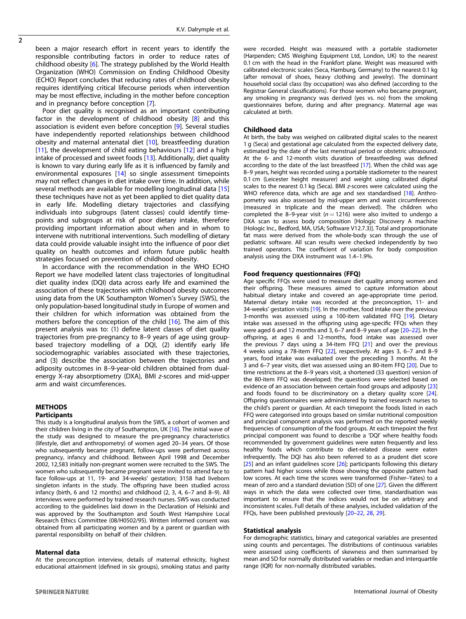$\overline{2}$ 

been a major research effort in recent years to identify the responsible contributing factors in order to reduce rates of childhood obesity [[6](#page-6-0)]. The strategy published by the World Health Organization (WHO) Commission on Ending Childhood Obesity (ECHO) Report concludes that reducing rates of childhood obesity requires identifying critical lifecourse periods when intervention may be most effective, including in the mother before conception and in pregnancy before conception [\[7\]](#page-6-0).

Poor diet quality is recognised as an important contributing factor in the development of childhood obesity [\[8\]](#page-6-0) and this association is evident even before conception [\[9\]](#page-6-0). Several studies have independently reported relationships between childhood obesity and maternal antenatal diet [\[10\]](#page-6-0), breastfeeding duration [[11\]](#page-6-0), the development of child eating behaviours [\[12\]](#page-7-0) and a high intake of processed and sweet foods [[13\]](#page-7-0). Additionally, diet quality is known to vary during early life as it is influenced by family and environmental exposures [[14\]](#page-7-0) so single assessment timepoints may not reflect changes in diet intake over time. In addition, while several methods are available for modelling longitudinal data [[15\]](#page-7-0) these techniques have not as yet been applied to diet quality data in early life. Modelling dietary trajectories and classifying individuals into subgroups (latent classes) could identify timepoints and subgroups at risk of poor dietary intake, therefore providing important information about when and in whom to intervene with nutritional interventions. Such modelling of dietary data could provide valuable insight into the influence of poor diet quality on health outcomes and inform future public health strategies focused on prevention of childhood obesity.

In accordance with the recommendation in the WHO ECHO Report we have modelled latent class trajectories of longitudinal diet quality index (DQI) data across early life and examined the association of these trajectories with childhood obesity outcomes using data from the UK Southampton Women's Survey (SWS), the only population-based longitudinal study in Europe of women and their children for which information was obtained from the mothers before the conception of the child [\[16\]](#page-7-0). The aim of this present analysis was to: (1) define latent classes of diet quality trajectories from pre-pregnancy to 8–9 years of age using groupbased trajectory modelling of a DQI, (2) identify early life sociodemographic variables associated with these trajectories, and (3) describe the association between the trajectories and adiposity outcomes in 8–9-year-old children obtained from dualenergy X-ray absorptiometry (DXA), BMI z-scores and mid-upper arm and waist circumferences.

# **METHODS**

# **Participants**

This study is a longitudinal analysis from the SWS, a cohort of women and their children living in the city of Southampton, UK [[16\]](#page-7-0). The initial wave of the study was designed to measure the pre-pregnancy characteristics (lifestyle, diet and anthropometry) of women aged 20–34 years. Of those who subsequently became pregnant, follow-ups were performed across pregnancy, infancy and childhood. Between April 1998 and December 2002, 12,583 initially non-pregnant women were recruited to the SWS. The women who subsequently became pregnant were invited to attend face to face follow-ups at 11, 19- and 34-weeks' gestation; 3158 had liveborn singleton infants in the study. The offspring have been studied across infancy (birth, 6 and 12 months) and childhood (2, 3, 4, 6–7 and 8–9). All interviews were performed by trained research nurses. SWS was conducted according to the guidelines laid down in the Declaration of Helsinki and was approved by the Southampton and South West Hampshire Local Research Ethics Committee (08/H0502/95). Written informed consent was obtained from all participating women and by a parent or guardian with parental responsibility on behalf of their children.

### Maternal data

At the preconception interview, details of maternal ethnicity, highest educational attainment (defined in six groups), smoking status and parity

were recorded. Height was measured with a portable stadiometer (Harpenden; CMS Weighing Equipment Ltd, London, UK) to the nearest 0.1 cm with the head in the Frankfort plane. Weight was measured with calibrated electronic scales (Seca, Hamburg, Germany) to the nearest 0.1 kg (after removal of shoes, heavy clothing and jewelry). The dominant household social class (by occupation) was also defined (according to the Registrar General classifications). For those women who became pregnant, any smoking in pregnancy was derived (yes vs. no) from the smoking questionnaires before, during and after pregnancy. Maternal age was calculated at birth.

#### Childhood data

At birth, the baby was weighed on calibrated digital scales to the nearest 1 g (Seca) and gestational age calculated from the expected delivery date, estimated by the date of the last menstrual period or obstetric ultrasound. At the 6- and 12-month visits duration of breastfeeding was defined according to the date of the last breastfeed [\[17\]](#page-7-0). When the child was age 8–9 years, height was recorded using a portable stadiometer to the nearest 0.1 cm (Leicester height measurer) and weight using calibrated digital scales to the nearest 0.1 kg (Seca). BMI z-scores were calculated using the WHO reference data, which are age and sex standardised [[18\]](#page-7-0). Anthropometry was also assessed by mid-upper arm and waist circumferences (measured in triplicate and the mean derived). The children who completed the 8-9-year visit ( $n = 1216$ ) were also invited to undergo a DXA scan to assess body composition [Hologic Discovery A machine (Hologic Inc., Bedford, MA, USA; Software V12.7.3)]. Total and proportionate fat mass were derived from the whole-body scan through the use of pediatric software. All scan results were checked independently by two trained operators. The coefficient of variation for body composition analysis using the DXA instrument was 1.4–1.9%.

#### Food frequency questionnaires (FFQ)

Age specific FFQs were used to measure diet quality among women and their offspring. These measures aimed to capture information about habitual dietary intake and covered an age-appropriate time period. Maternal dietary intake was recorded at the preconception, 11- and 34-weeks' gestation visits [\[19](#page-7-0)]. In the mother, food intake over the previous 3-months was assessed using a 100-item validated FFQ [\[19](#page-7-0)]. Dietary intake was assessed in the offspring using age-specific FFQs when they were aged 6 and 12 months and 3, 6–7 and 8–9 years of age [\[20](#page-7-0)–[22\]](#page-7-0). In the offspring, at ages 6 and 12-months, food intake was assessed over the previous 7 days using a 34-item FFQ [[21\]](#page-7-0) and over the previous 4 weeks using a 78-item FFQ [\[22\]](#page-7-0), respectively. At ages 3, 6–7 and 8–9 years, food intake was evaluated over the preceding 3 months. At the 3 and 6–7 year visits, diet was assessed using an 80-item FFQ [\[20](#page-7-0)]. Due to time restrictions at the 8–9 years visit, a shortened (33 question) version of the 80-item FFQ was developed; the questions were selected based on evidence of an association between certain food groups and adiposity [\[23](#page-7-0)] and foods found to be discriminatory on a dietary quality score [\[24\]](#page-7-0). Offspring questionnaires were administered by trained research nurses to the child's parent or guardian. At each timepoint the foods listed in each FFQ were categorised into groups based on similar nutritional composition and principal component analysis was performed on the reported weekly frequencies of consumption of the food groups. At each timepoint the first principal component was found to describe a 'DQI' where healthy foods recommended by government guidelines were eaten frequently and less healthy foods which contribute to diet-related disease were eaten infrequently. The DQI has also been referred to as a prudent diet score [[25\]](#page-7-0) and an infant guidelines score [[26\]](#page-7-0); participants following this dietary pattern had higher scores while those showing the opposite pattern had low scores. At each time the scores were transformed (Fisher–Yates) to a mean of zero and a standard deviation (SD) of one [\[27](#page-7-0)]. Given the different ways in which the data were collected over time, standardisation was important to ensure that the indices would not be on arbitrary and inconsistent scales. Full details of these analyses, included validation of the FFQs, have been published previously [\[20](#page-7-0)–[22](#page-7-0), [28,](#page-7-0) [29](#page-7-0)].

#### Statistical analysis

For demographic statistics, binary and categorical variables are presented using counts and percentages. The distributions of continuous variables were assessed using coefficients of skewness and then summarised by mean and SD for normally distributed variables or median and interquartile range (IQR) for non-normally distributed variables.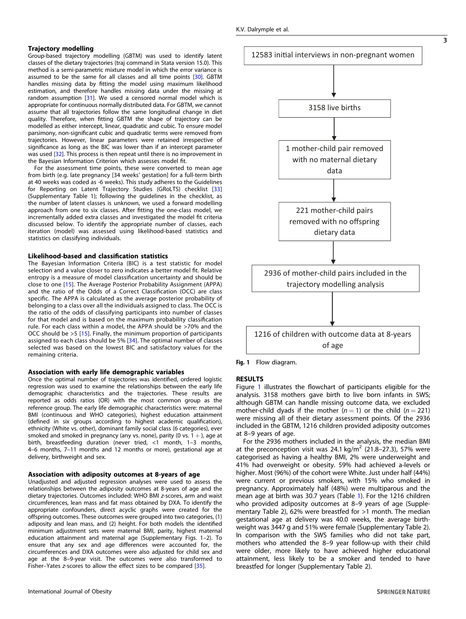#### Trajectory modelling

Group-based trajectory modelling (GBTM) was used to identify latent classes of the dietary trajectories (traj command in Stata version 15.0). This method is a semi-parametric mixture model in which the error variance is assumed to be the same for all classes and all time points [[30\]](#page-7-0). GBTM handles missing data by fitting the model using maximum likelihood estimation, and therefore handles missing data under the missing at random assumption [[31\]](#page-7-0). We used a censored normal model which is appropriate for continuous normally distributed data. For GBTM, we cannot assume that all trajectories follow the same longitudinal change in diet quality. Therefore, when fitting GBTM the shape of trajectory can be modelled as either intercept, linear, quadratic and cubic. To ensure model parsimony, non-significant cubic and quadratic terms were removed from trajectories. However, linear parameters were retained irrespective of significance as long as the BIC was lower than if an intercept parameter was used [\[32](#page-7-0)]. This process is then repeat until there is no improvement in the Bayesian Information Criterion which assesses model fit.

For the assessment time points, these were converted to mean age from birth (e.g. late pregnancy [34 weeks' gestation] for a full-term birth at 40 weeks was coded as -6 weeks). This study adheres to the Guidelines for Reporting on Latent Trajectory Studies (GRoLTS) checklist [\[33\]](#page-7-0) (Supplementary Table 1); following the guidelines in the checklist, as the number of latent classes is unknown, we used a forward modelling approach from one to six classes. After fitting the one-class model, we incrementally added extra classes and investigated the model fit criteria discussed below. To identify the appropriate number of classes, each iteration (model) was assessed using likelihood-based statistics and statistics on classifying individuals.

# Likelihood-based and classification statistics

The Bayesian Information Criteria (BIC) is a test statistic for model selection and a value closer to zero indicates a better model fit. Relative entropy is a measure of model classification uncertainty and should be close to one [\[15\]](#page-7-0). The Average Posterior Probability Assignment (APPA) and the ratio of the Odds of a Correct Classification (OCC) are class specific. The APPA is calculated as the average posterior probability of belonging to a class over all the individuals assigned to class. The OCC is the ratio of the odds of classifying participants into number of classes for that model and is based on the maximum probability classification rule. For each class within a model, the APPA should be >70% and the OCC should be >5 [[15](#page-7-0)]. Finally, the minimum proportion of participants assigned to each class should be 5% [[34](#page-7-0)]. The optimal number of classes selected was based on the lowest BIC and satisfactory values for the remaining criteria.

#### Association with early life demographic variables

Once the optimal number of trajectories was identified, ordered logistic regression was used to examine the relationships between the early life demographic characteristics and the trajectories. These results are reported as odds ratios (OR) with the most common group as the reference group. The early life demographic characteristics were: maternal BMI (continuous and WHO categories), highest education attainment (defined in six groups according to highest academic qualification), ethnicity (White vs. other), dominant family social class (6 categories), ever smoked and smoked in pregnancy (any vs. none), parity (0 vs.  $1 +$ ), age at birth, breastfeeding duration (never tried, <1 month, 1–3 months, 4–6 months, 7–11 months and 12 months or more), gestational age at delivery, birthweight and sex.

#### Association with adiposity outcomes at 8-years of age

Unadjusted and adjusted regression analyses were used to assess the relationships between the adiposity outcomes at 8-years of age and the dietary trajectories. Outcomes included: WHO BMI z-scores, arm and waist circumferences, lean mass and fat mass obtained by DXA. To identify the appropriate confounders, direct acyclic graphs were created for the offspring outcomes. These outcomes were grouped into two categories, (1) adiposity and lean mass, and (2) height. For both models the identified minimum adjustment sets were maternal BMI, parity, highest maternal education attainment and maternal age (Supplementary Figs. 1–2). To ensure that any sex and age differences were accounted for, the circumferences and DXA outcomes were also adjusted for child sex and age at the 8–9-year visit. The outcomes were also transformed to Fisher–Yates z-scores to allow the effect sizes to be compared [\[35](#page-7-0)].



Fig. 1 Flow diagram.

## RESULTS

Figure 1 illustrates the flowchart of participants eligible for the analysis. 3158 mothers gave birth to live born infants in SWS; although GBTM can handle missing outcome data, we excluded mother-child dyads if the mother  $(n = 1)$  or the child  $(n = 221)$ were missing all of their dietary assessment points. Of the 2936 included in the GBTM, 1216 children provided adiposity outcomes at 8–9 years of age.

For the 2936 mothers included in the analysis, the median BMI at the preconception visit was 24.1 kg/m<sup>2</sup> (21.8–27.3), 57% were categorised as having a healthy BMI, 2% were underweight and 41% had overweight or obesity. 59% had achieved a-levels or higher. Most (96%) of the cohort were White. Just under half (44%) were current or previous smokers, with 15% who smoked in pregnancy. Approximately half (48%) were multiparous and the mean age at birth was 30.7 years (Table [1](#page-3-0)). For the 1216 children who provided adiposity outcomes at 8–9 years of age (Supplementary Table 2), 62% were breastfed for >1 month. The median gestational age at delivery was 40.0 weeks, the average birthweight was 3447 g and 51% were female (Supplementary Table 2). In comparison with the SWS families who did not take part, mothers who attended the 8–9 year follow-up with their child were older, more likely to have achieved higher educational attainment, less likely to be a smoker and tended to have breastfed for longer (Supplementary Table 2).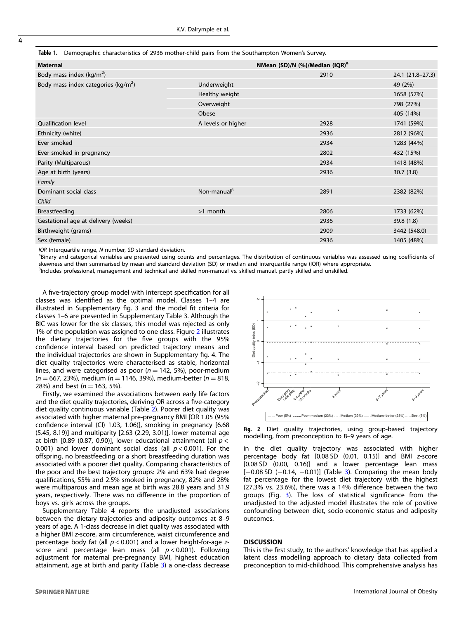<span id="page-3-0"></span>

| Table 1. Demographic characteristics of 2936 mother-child pairs from the Southampton Women's Survey. |
|------------------------------------------------------------------------------------------------------|
|                                                                                                      |

| <b>Maternal</b>                                |                    | NMean (SD)/N (%)/Median (IQR) <sup>a</sup> |                  |
|------------------------------------------------|--------------------|--------------------------------------------|------------------|
| Body mass index $(kg/m^2)$                     |                    | 2910                                       | 24.1 (21.8-27.3) |
| Body mass index categories ( $\text{kg/m}^2$ ) | Underweight        |                                            | 49 (2%)          |
|                                                | Healthy weight     |                                            | 1658 (57%)       |
|                                                | Overweight         |                                            | 798 (27%)        |
|                                                | Obese              |                                            | 405 (14%)        |
| <b>Oualification level</b>                     | A levels or higher | 2928                                       | 1741 (59%)       |
| Ethnicity (white)                              |                    | 2936                                       | 2812 (96%)       |
| Ever smoked                                    |                    | 2934                                       | 1283 (44%)       |
| Ever smoked in pregnancy                       |                    | 2802                                       | 432 (15%)        |
| Parity (Multiparous)                           |                    | 2934                                       | 1418 (48%)       |
| Age at birth (years)                           |                    | 2936                                       | 30.7(3.8)        |
| Family                                         |                    |                                            |                  |
| Dominant social class                          | Non-manual $\beta$ | 2891                                       | 2382 (82%)       |
| Child                                          |                    |                                            |                  |
| Breastfeeding                                  | $>1$ month         | 2806                                       | 1733 (62%)       |
| Gestational age at delivery (weeks)            |                    | 2936                                       | 39.8(1.8)        |
| Birthweight (grams)                            |                    | 2909                                       | 3442 (548.0)     |
| Sex (female)                                   |                    | 2936                                       | 1405 (48%)       |
|                                                |                    |                                            |                  |

 $IOR$  Interquartile range, N number, SD standard deviation.

<sup>a</sup>Binary and categorical variables are presented using counts and percentages. The distribution of continuous variables was assessed using coefficients of skewness and then summarised by mean and standard deviation (SD) or median and interquartile range (IQR) where appropriate.

<sup>β</sup>Includes professional, management and technical and skilled non-manual vs. skilled manual, partly skilled and unskilled.

A five-trajectory group model with intercept specification for all classes was identified as the optimal model. Classes 1–4 are illustrated in Supplementary fig. 3 and the model fit criteria for classes 1–6 are presented in Supplementary Table 3. Although the BIC was lower for the six classes, this model was rejected as only 1% of the population was assigned to one class. Figure 2 illustrates the dietary trajectories for the five groups with the 95% confidence interval based on predicted trajectory means and the individual trajectories are shown in Supplementary fig. 4. The diet quality trajectories were characterised as stable, horizontal lines, and were categorised as poor ( $n = 142$ , 5%), poor-medium  $(n = 667, 23%)$ , medium ( $n = 1146, 39%)$ , medium-better ( $n = 818$ , 28%) and best  $(n = 163, 5\%)$ .

Firstly, we examined the associations between early life factors and the diet quality trajectories, deriving OR across a five-category diet quality continuous variable (Table [2](#page-4-0)). Poorer diet quality was associated with higher maternal pre-pregnancy BMI [OR 1.05 (95% confidence interval (CI) 1.03, 1.06)], smoking in pregnancy [6.68 (5.45, 8.19)] and multiparity [2.63 (2.29, 3.01)], lower maternal age at birth [0.89 (0.87, 0.90)], lower educational attainment (all  $p <$ 0.001) and lower dominant social class (all  $p < 0.001$ ). For the offspring, no breastfeeding or a short breastfeeding duration was associated with a poorer diet quality. Comparing characteristics of the poor and the best trajectory groups: 2% and 63% had degree qualifications, 55% and 2.5% smoked in pregnancy, 82% and 28% were multiparous and mean age at birth was 28.8 years and 31.9 years, respectively. There was no difference in the proportion of boys vs. girls across the groups.

Supplementary Table 4 reports the unadjusted associations between the dietary trajectories and adiposity outcomes at 8–9 years of age. A 1-class decrease in diet quality was associated with a higher BMI z-score, arm circumference, waist circumference and percentage body fat (all  $p < 0.001$ ) and a lower height-for-age zscore and percentage lean mass (all  $p < 0.001$ ). Following adjustment for maternal pre-pregnancy BMI, highest education attainment, age at birth and parity (Table [3](#page-5-0)) a one-class decrease



Fig. 2 Diet quality trajectories, using group-based trajectory modelling, from preconception to 8–9 years of age.

in the diet quality trajectory was associated with higher percentage body fat [0.08 SD (0.01, 0.15)] and BMI z-score [0.08 SD (0.00, 0.16)] and a lower percentage lean mass  $[-0.08 S D (-0.14, -0.01)]$  (Table [3](#page-5-0)). Comparing the mean body fat percentage for the lowest diet trajectory with the highest (27.3% vs. 23.6%), there was a 14% difference between the two groups (Fig. [3\)](#page-5-0). The loss of statistical significance from the unadjusted to the adjusted model illustrates the role of positive confounding between diet, socio-economic status and adiposity outcomes.

# **DISCUSSION**

This is the first study, to the authors' knowledge that has applied a latent class modelling approach to dietary data collected from preconception to mid-childhood. This comprehensive analysis has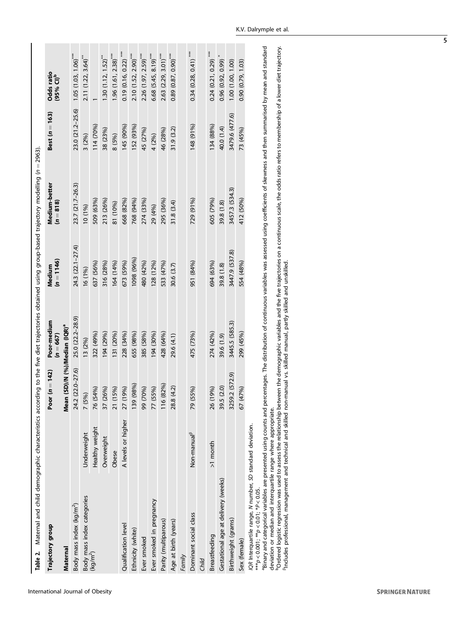<span id="page-4-0"></span>

| Table 2. Maternal and child demographic characteristics according to the five diet trajectories obtained using group-based trajectory modelling (n = 2963).                                    |                         |                                           |                            |                        |                                                                                                                                                                                                                                |                  |                                       |
|------------------------------------------------------------------------------------------------------------------------------------------------------------------------------------------------|-------------------------|-------------------------------------------|----------------------------|------------------------|--------------------------------------------------------------------------------------------------------------------------------------------------------------------------------------------------------------------------------|------------------|---------------------------------------|
| Trajectory group                                                                                                                                                                               |                         | Poor $(n = 142)$                          | Poor-medium<br>$(n = 667)$ | $(n = 1146)$<br>Medium | Medium-better<br>$(n = 818)$                                                                                                                                                                                                   | Best $(n = 163)$ | Odds ratio<br>$(95%$ CI) <sup>b</sup> |
| Maternal                                                                                                                                                                                       |                         | Mean (SD)/N (%)/Median (IQR) <sup>a</sup> |                            |                        |                                                                                                                                                                                                                                |                  |                                       |
| Body mass index (kg/m <sup>2</sup> )                                                                                                                                                           |                         | 24.2 (22.0-27.6)                          | 25.0 (22.2-28.9)           | 24.3 (22.1-27.4)       | 23.7 (21.7-26.3)                                                                                                                                                                                                               | 23.0 (21.2-25.6) | $1.05(1.03, 1.06)$ ***                |
| Body mass index categories<br>(kg/m <sup>2</sup> )                                                                                                                                             | Underweight             | 7 (5%)                                    | 13 (2%)                    | 16 (1%)                | 10 (1%)                                                                                                                                                                                                                        | 3(2%)            | 2.11(1.22, 3.64)                      |
|                                                                                                                                                                                                | Healthy weight          | (54%)<br>$\frac{1}{2}$                    | 322 (49%)                  | 637 (56%)              | 509 (63%)                                                                                                                                                                                                                      | 114 (70%)        |                                       |
|                                                                                                                                                                                                | Overweight              | (26%)<br>37                               | 194 (29%)                  | 316 (28%)              | 213 (26%)                                                                                                                                                                                                                      | 38 (23%)         | $1.30(1.12, 1.52)$ **                 |
|                                                                                                                                                                                                | Obese                   | (15%)                                     | 131 (20%)                  | 164 (14%)              | 81 (10%)                                                                                                                                                                                                                       | 8 (5%)           | $1.96(1.61, 2.38)$ ***                |
| Qualification level                                                                                                                                                                            | A levels or higher      | (19%)<br>27                               | 228 (34%)                  | 673 (59%)              | 668 (82%)                                                                                                                                                                                                                      | 145 (90%)        | $0.19(0.16, 0.22)$ ***                |
| Ethnicity (white)                                                                                                                                                                              |                         | (98%)<br>139                              | 655 (98%)                  | 1098 (96%)             | 768 (94%)                                                                                                                                                                                                                      | 152 (93%)        | $2.10(1.52, 2.90)$ ***                |
| Ever smoked                                                                                                                                                                                    |                         | (70%)<br>99                               | 385 (58%)                  | 480 (42%)              | 274 (33%)                                                                                                                                                                                                                      | 45 (27%)         | 2.26 (1.97, 2.59)***                  |
| Ever smoked in pregnancy                                                                                                                                                                       |                         | (55%)<br>77                               | 194 (30%)                  | 128 (12%)              | 29 (4%)                                                                                                                                                                                                                        | 4 (2%)           | $6.68$ $(5.45, 8.19)$ ***             |
| Parity (multiparous)                                                                                                                                                                           |                         | 116 (82%)                                 | 428 (64%)                  | 533 (47%)              | 295 (36%)                                                                                                                                                                                                                      | 46 (28%)         | $2.63$ $(2.29, 3.01)$ ***             |
| Age at birth (years)                                                                                                                                                                           |                         | 28.8 (4.2)                                | 29.6 (4.1)                 | 30.6 (3.7)             | 31.8(3.4)                                                                                                                                                                                                                      | 31.9(3.2)        | $0.89(0.87, 0.90)$ ***                |
| Family                                                                                                                                                                                         |                         |                                           |                            |                        |                                                                                                                                                                                                                                |                  |                                       |
| Dominant social class                                                                                                                                                                          | Non-manual <sup>ß</sup> | (55%)<br>79                               | 475 (73%)                  | 951 (84%)              | 729 (91%)                                                                                                                                                                                                                      | 148 (91%)        | $0.34(0.28, 0.41)$ ***                |
| Child                                                                                                                                                                                          |                         |                                           |                            |                        |                                                                                                                                                                                                                                |                  |                                       |
| Breastfeeding                                                                                                                                                                                  | >1 month                | (19%)<br>26                               | 274 (42%)                  | 694 (63%)              | 605 (79%)                                                                                                                                                                                                                      | 134 (88%)        | $0.24$ $(0.21, 0.29)$ ***             |
| Gestational age at delivery (weeks)                                                                                                                                                            |                         | 39.5 (2.0)                                | 39.6 (1.9)                 | 39.8 (1.8)             | 39.8 (1.8)                                                                                                                                                                                                                     | 40.0 (1.4)       | $0.96$ $(0.92, 0.99)$                 |
| Birthweight (grams)                                                                                                                                                                            |                         | 3259.2 (572.9)                            | 3445.5 (585.3)             | 3447.9 (537.8)         | 3457.3 (534.3)                                                                                                                                                                                                                 | 3479.6 (477.6)   | 1.00 (1.00, 1.00)                     |
| Sex (female)                                                                                                                                                                                   |                         | (47%)<br>67                               | 299 (45%)                  | 554 (48%)              | 412 (50%)                                                                                                                                                                                                                      | 73 (45%)         | 0.90 (0.79, 1.03)                     |
| apierant control include an ancorator both chine section in a control include<br>IQR Interquartile range, N number, SD standard deviation.<br>*** $p < 0.001$ ; ** $p < 0.01$ ; * $P < 0.05$ . |                         |                                           |                            |                        | reserves to the life of the contrast of the contrast of the contrast of the contrast of the contrast of the contrast of the contrast of the contrast of the contrast of the contrast of the contrast of the contrast of the co |                  |                                       |

Binary and categorical variables are presented using counts and percentages. The distribution of continuous variables was assessed using coefficients of skewness and then summarised by mean and standard aBinary and categorical variables are presented using counts and percentages. The distribution of continuous variables was assessed using coefficients of skewness and then summarised by mean and standard deviation or median and interquartile range where appropriate.

deviation or median and interquartile range where appropriate.<br><sup>b</sup>Ordered logistic regression was used to assess the relationship between the demographic variables and the five trajectories on a continuous scale, the odds bOrdered logistic regression was used to assess the relationship between the demographic variables and the five trajectories on a continuous scale, the odds ratio refers to membership of a lower diet trajectory. βIncludes professional, management and technical and skilled non-manual vs. skilled manual, partly skilled and unskilled.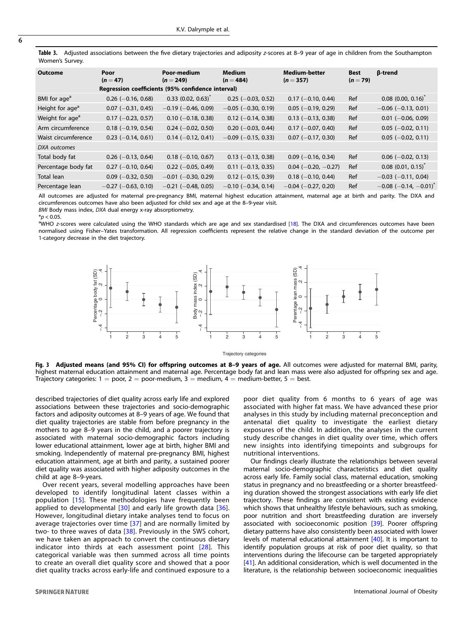<span id="page-5-0"></span>Table 3. Adjusted associations between the five dietary trajectories and adiposity z-scores at 8–9 year of age in children from the Southampton Women's Survey.

| <b>Outcome</b>              | Poor<br>$(n=47)$                                  | Poor-medium<br>$(n = 249)$       | <b>Medium</b><br>$(n = 484)$ | <b>Medium-better</b><br>$(n = 357)$ | <b>Best</b><br>$(n=79)$ | β-trend                             |
|-----------------------------|---------------------------------------------------|----------------------------------|------------------------------|-------------------------------------|-------------------------|-------------------------------------|
|                             | Regression coefficients (95% confidence interval) |                                  |                              |                                     |                         |                                     |
| BMI for age <sup>a</sup>    | $0.26$ (-0.16, 0.68)                              | $0.33$ (0.02, 0.63) <sup>*</sup> | $0.25$ (-0.03, 0.52)         | $0.17$ (-0.10, 0.44)                | Ref                     | $0.08$ (0.00, 0.16) <sup>*</sup>    |
| Height for age <sup>a</sup> | $0.07$ (-0.31, 0.45)                              | $-0.19$ ( $-0.46$ , 0.09)        | $-0.05$ ( $-0.30$ , 0.19)    | $0.05$ (-0.19, 0.29)                | Ref                     | $-0.06$ ( $-0.13$ , 0.01)           |
| Weight for age <sup>a</sup> | $0.17$ (-0.23, 0.57)                              | $0.10$ (-0.18, 0.38)             | $0.12$ (-0.14, 0.38)         | $0.13$ (-0.13, 0.38)                | Ref                     | $0.01$ (-0.06, 0.09)                |
| Arm circumference           | $0.18$ (-0.19, 0.54)                              | $0.24$ (-0.02, 0.50)             | $0.20$ (-0.03, 0.44)         | $0.17$ (-0.07, 0.40)                | Ref                     | $0.05$ (-0.02, 0.11)                |
| Waist circumference         | $0.23$ (-0.14, 0.61)                              | $0.14 (-0.12, 0.41)$             | $-0.09$ ( $-0.15$ , 0.33)    | $0.07$ (-0.17, 0.30)                | Ref                     | $0.05$ (-0.02, 0.11)                |
| DXA outcomes                |                                                   |                                  |                              |                                     |                         |                                     |
| Total body fat              | $0.26$ (-0.13, 0.64)                              | $0.18$ (-0.10, 0.67)             | $0.13$ (-0.13, 0.38)         | $0.09$ (-0.16, 0.34)                | Ref                     | $0.06$ (-0.02, 0.13)                |
| Percentage body fat         | $0.27$ (-0.10, 0.64)                              | $0.22$ (-0.05, 0.49)             | $0.11$ (-0.13, 0.35)         | $0.04$ (-0.20, -0.27)               | Ref                     | $0.08$ $(0.01, 0.15)^T$             |
| Total lean                  | $0.09$ (-0.32, 0.50)                              | $-0.01$ ( $-0.30$ , 0.29)        | $0.12$ (-0.15, 0.39)         | $0.18$ (-0.10, 0.44)                | Ref                     | $-0.03$ ( $-0.11$ , 0.04)           |
| Percentage lean             | $-0.27$ ( $-0.63$ , 0.10)                         | $-0.21$ ( $-0.48$ , 0.05)        | $-0.10$ ( $-0.34$ , 0.14)    | $-0.04$ ( $-0.27$ , 0.20)           | Ref                     | $-0.08$ (-0.14, -0.01) <sup>*</sup> |
|                             |                                                   |                                  |                              |                                     |                         |                                     |

All outcomes are adjusted for maternal pre-pregnancy BMI, maternal highest education attainment, maternal age at birth and parity. The DXA and circumferences outcomes have also been adjusted for child sex and age at the 8–9-year visit.

BMI Body mass index, DXA dual energy x-ray absorptiometry.

 $*$ *p* < 0.05.

aWHO z-scores were calculated using the WHO standards which are age and sex standardised [\[18\]](#page-7-0). The DXA and circumferences outcomes have been normalised using Fisher–Yates transformation. All regression coefficients represent the relative change in the standard deviation of the outcome per 1-category decrease in the diet trajectory.



#### Trajectory categories

Fig. 3 Adjusted means (and 95% CI) for offspring outcomes at 8-9 years of age. All outcomes were adjusted for maternal BMI, parity, highest maternal education attainment and maternal age. Percentage body fat and lean mass were also adjusted for offspring sex and age. Trajectory categories:  $1 =$  poor,  $2 =$  poor-medium,  $3 =$  medium,  $4 =$  medium-better,  $5 =$  best.

described trajectories of diet quality across early life and explored associations between these trajectories and socio-demographic factors and adiposity outcomes at 8–9 years of age. We found that diet quality trajectories are stable from before pregnancy in the mothers to age 8–9 years in the child, and a poorer trajectory is associated with maternal socio-demographic factors including lower educational attainment, lower age at birth, higher BMI and smoking. Independently of maternal pre-pregnancy BMI, highest education attainment, age at birth and parity, a sustained poorer diet quality was associated with higher adiposity outcomes in the child at age 8–9-years.

Over recent years, several modelling approaches have been developed to identify longitudinal latent classes within a population [\[15\]](#page-7-0). These methodologies have frequently been applied to developmental [[30](#page-7-0)] and early life growth data [\[36\]](#page-7-0). However, longitudinal dietary intake analyses tend to focus on average trajectories over time [[37](#page-7-0)] and are normally limited by two- to three waves of data [[38](#page-7-0)]. Previously in the SWS cohort, we have taken an approach to convert the continuous dietary indicator into thirds at each assessment point [\[28\]](#page-7-0). This categorical variable was then summed across all time points to create an overall diet quality score and showed that a poor diet quality tracks across early-life and continued exposure to a

poor diet quality from 6 months to 6 years of age was associated with higher fat mass. We have advanced these prior analyses in this study by including maternal preconception and antenatal diet quality to investigate the earliest dietary exposures of the child. In addition, the analyses in the current study describe changes in diet quality over time, which offers new insights into identifying timepoints and subgroups for nutritional interventions.

Our findings clearly illustrate the relationships between several maternal socio-demographic characteristics and diet quality across early life. Family social class, maternal education, smoking status in pregnancy and no breastfeeding or a shorter breastfeeding duration showed the strongest associations with early life diet trajectory. These findings are consistent with existing evidence which shows that unhealthy lifestyle behaviours, such as smoking, poor nutrition and short breastfeeding duration are inversely associated with socioeconomic position [[39](#page-7-0)]. Poorer offspring dietary patterns have also consistently been associated with lower levels of maternal educational attainment [\[40](#page-7-0)]. It is important to identify population groups at risk of poor diet quality, so that interventions during the lifecourse can be targeted appropriately [[41\]](#page-7-0). An additional consideration, which is well documented in the literature, is the relationship between socioeconomic inequalities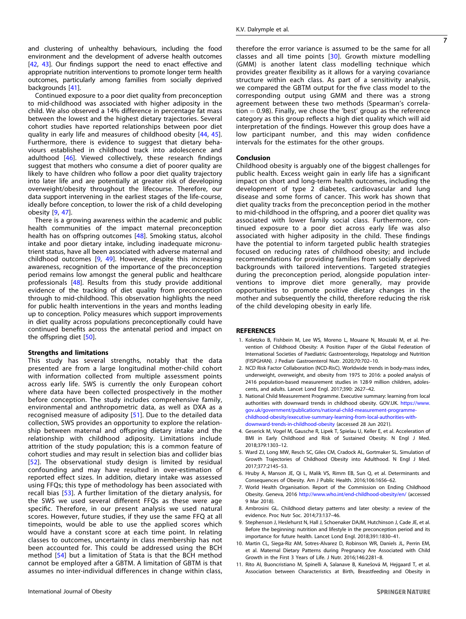<span id="page-6-0"></span>and clustering of unhealthy behaviours, including the food environment and the development of adverse health outcomes [\[42,](#page-7-0) [43\]](#page-7-0). Our findings support the need to enact effective and appropriate nutrition interventions to promote longer term health outcomes, particularly among families from socially deprived backgrounds [[41](#page-7-0)].

Continued exposure to a poor diet quality from preconception to mid-childhood was associated with higher adiposity in the child. We also observed a 14% difference in percentage fat mass between the lowest and the highest dietary trajectories. Several cohort studies have reported relationships between poor diet quality in early life and measures of childhood obesity [[44](#page-7-0), [45\]](#page-7-0). Furthermore, there is evidence to suggest that dietary behaviours established in childhood track into adolescence and adulthood [[46](#page-7-0)]. Viewed collectively, these research findings suggest that mothers who consume a diet of poorer quality are likely to have children who follow a poor diet quality trajectory into later life and are potentially at greater risk of developing overweight/obesity throughout the lifecourse. Therefore, our data support intervening in the earliest stages of the life-course, ideally before conception, to lower the risk of a child developing obesity [9, [47](#page-7-0)].

There is a growing awareness within the academic and public health communities of the impact maternal preconception health has on offspring outcomes [[48\]](#page-7-0). Smoking status, alcohol intake and poor dietary intake, including inadequate micronutrient status, have all been associated with adverse maternal and childhood outcomes [9, [49](#page-7-0)]. However, despite this increasing awareness, recognition of the importance of the preconception period remains low amongst the general public and healthcare professionals [\[48\]](#page-7-0). Results from this study provide additional evidence of the tracking of diet quality from preconception through to mid-childhood. This observation highlights the need for public health interventions in the years and months leading up to conception. Policy measures which support improvements in diet quality across populations preconceptionally could have continued benefits across the antenatal period and impact on the offspring diet [\[50\]](#page-7-0).

#### Strengths and limitations

This study has several strengths, notably that the data presented are from a large longitudinal mother-child cohort with information collected from multiple assessment points across early life. SWS is currently the only European cohort where data have been collected prospectively in the mother before conception. The study includes comprehensive family, environmental and anthropometric data, as well as DXA as a recognised measure of adiposity [[51](#page-7-0)]. Due to the detailed data collection, SWS provides an opportunity to explore the relationship between maternal and offspring dietary intake and the relationship with childhood adiposity. Limitations include attrition of the study population; this is a common feature of cohort studies and may result in selection bias and collider bias [[52](#page-7-0)]. The observational study design is limited by residual confounding and may have resulted in over-estimation of reported effect sizes. In addition, dietary intake was assessed using FFQs; this type of methodology has been associated with recall bias [[53](#page-7-0)]. A further limitation of the dietary analysis, for the SWS we used several different FFQs as these were age specific. Therefore, in our present analysis we used natural scores. However, future studies, if they use the same FFQ at all timepoints, would be able to use the applied scores which would have a constant score at each time point. In relating classes to outcomes, uncertainty in class membership has not been accounted for. This could be addressed using the BCH method [[54](#page-7-0)] but a limitation of Stata is that the BCH method cannot be employed after a GBTM. A limitation of GBTM is that assumes no inter-individual differences in change within class, therefore the error variance is assumed to be the same for all classes and all time points [\[30\]](#page-7-0). Growth mixture modelling (GMM) is another latent class modelling technique which provides greater flexibility as it allows for a varying covariance structure within each class. As part of a sensitivity analysis, we compared the GBTM output for the five class model to the

corresponding output using GMM and there was a strong agreement between these two methods (Spearman's correla $tion = 0.98$ ). Finally, we chose the 'best' group as the reference category as this group reflects a high diet quality which will aid interpretation of the findings. However this group does have a low participant number, and this may widen confidence intervals for the estimates for the other groups.

#### Conclusion

Childhood obesity is arguably one of the biggest challenges for public health. Excess weight gain in early life has a significant impact on short and long-term health outcomes, including the development of type 2 diabetes, cardiovascular and lung disease and some forms of cancer. This work has shown that diet quality tracks from the preconception period in the mother to mid-childhood in the offspring, and a poorer diet quality was associated with lower family social class. Furthermore, continued exposure to a poor diet across early life was also associated with higher adiposity in the child. These findings have the potential to inform targeted public health strategies focused on reducing rates of childhood obesity; and include recommendations for providing families from socially deprived backgrounds with tailored interventions. Targeted strategies during the preconception period, alongside population interventions to improve diet more generally, may provide opportunities to promote positive dietary changes in the mother and subsequently the child, therefore reducing the risk of the child developing obesity in early life.

#### **REFERENCES**

- 1. Koletzko B, Fishbein M, Lee WS, Moreno L, Mouane N, Mouzaki M, et al. Prevention of Childhood Obesity: A Position Paper of the Global Federation of International Societies of Paediatric Gastroenterology, Hepatology and Nutrition (FISPGHAN). J Pediatr Gastroenterol Nutr. 2020;70:702–10.
- 2. NCD Risk Factor Collaboration (NCD-RisC). Worldwide trends in body-mass index, underweight, overweight, and obesity from 1975 to 2016: a pooled analysis of 2416 population-based measurement studies in 128·9 million children, adolescents, and adults. Lancet Lond Engl. 2017;390: 2627–42.
- 3. National Child Measurement Programme. Executive summary: learning from local authorities with downward trends in childhood obesity. GOV.UK. [https://www.](https://www.gov.uk/government/publications/national-child-measurement-programme-childhood-obesity/executive-summary-learning-from-local-authorities-with-downward-trends-in-childhood-obesity) [gov.uk/government/publications/national-child-measurement-programme](https://www.gov.uk/government/publications/national-child-measurement-programme-childhood-obesity/executive-summary-learning-from-local-authorities-with-downward-trends-in-childhood-obesity)[childhood-obesity/executive-summary-learning-from-local-authorities-with](https://www.gov.uk/government/publications/national-child-measurement-programme-childhood-obesity/executive-summary-learning-from-local-authorities-with-downward-trends-in-childhood-obesity)[downward-trends-in-childhood-obesity](https://www.gov.uk/government/publications/national-child-measurement-programme-childhood-obesity/executive-summary-learning-from-local-authorities-with-downward-trends-in-childhood-obesity) (accessed 28 Jun 2021).
- 4. Geserick M, Vogel M, Gausche R, Lipek T, Spielau U, Keller E, et al. Acceleration of BMI in Early Childhood and Risk of Sustained Obesity. N Engl J Med. 2018;379:1303–12.
- 5. Ward ZJ, Long MW, Resch SC, Giles CM, Cradock AL, Gortmaker SL. Simulation of Growth Trajectories of Childhood Obesity into Adulthood. N Engl J Med. 2017;377:2145–53.
- 6. Hruby A, Manson JE, Qi L, Malik VS, Rimm EB, Sun Q, et al. Determinants and Consequences of Obesity. Am J Public Health. 2016;106:1656–62.
- 7. World Health Organisation. Report of the Commission on Ending Childhood Obesity. Geneva, 2016 <http://www.who.int/end-childhood-obesity/en/> (accessed 9 Mar 2018).
- 8. Ambrosini GL. Childhood dietary patterns and later obesity: a review of the evidence. Proc Nutr Soc. 2014;73:137–46.
- 9. Stephenson J, Heslehurst N, Hall J, Schoenaker DAJM, Hutchinson J, Cade JE, et al. Before the beginning: nutrition and lifestyle in the preconception period and its importance for future health. Lancet Lond Engl. 2018;391:1830–41.
- 10. Martin CL, Siega-Riz AM, Sotres-Alvarez D, Robinson WR, Daniels JL, Perrin EM, et al. Maternal Dietary Patterns during Pregnancy Are Associated with Child Growth in the First 3 Years of Life. J Nutr. 2016;146:2281–8.
- 11. Rito AI, Buoncristiano M, Spinelli A, Salanave B, Kunešová M, Hejgaard T, et al. Association between Characteristics at Birth, Breastfeeding and Obesity in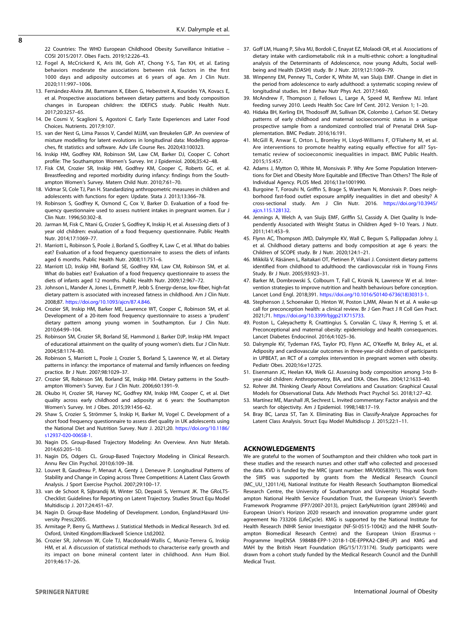<span id="page-7-0"></span>22 Countries: The WHO European Childhood Obesity Surveillance Initiative – COSI 2015/2017. Obes Facts. 2019;12:226–43.

- 12. Fogel A, McCrickerd K, Aris IM, Goh AT, Chong Y-S, Tan KH, et al. Eating behaviors moderate the associations between risk factors in the first 1000 days and adiposity outcomes at 6 years of age. Am J Clin Nutr. 2020;111:997–1006.
- 13. Fernández-Alvira JM, Bammann K, Eiben G, Hebestreit A, Kourides YA, Kovacs E, et al. Prospective associations between dietary patterns and body composition changes in European children: the IDEFICS study. Public Health Nutr. 2017;20:3257–65.
- 14. De Cosmi V, Scaglioni S, Agostoni C. Early Taste Experiences and Later Food Choices. Nutrients. 2017;9:107.
- 15. van der Nest G, Lima Passos V, Candel MJJM, van Breukelen GJP. An overview of mixture modelling for latent evolutions in longitudinal data: Modelling approaches, fit statistics and software. Adv Life Course Res. 2020;43:100323.
- 16. Inskip HM, Godfrey KM, Robinson SM, Law CM, Barker DJ, Cooper C. Cohort profile: The Southampton Women's Survey. Int J Epidemiol. 2006;35:42–48.
- 17. Fisk CM, Crozier SR, Inskip HM, Godfrey KM, Cooper C, Roberts GC, et al. Breastfeeding and reported morbidity during infancy: findings from the Southampton Women's Survey. Matern Child Nutr. 2010;7:61–70.
- 18. Vidmar SI, Cole TJ, Pan H. Standardizing anthropometric measures in children and adolescents with functions for egen: Update. Stata J. 2013;13:366–78.
- 19. Robinson S, Godfrey K, Osmond C, Cox V, Barker D. Evaluation of a food frequency questionnaire used to assess nutrient intakes in pregnant women. Eur J Clin Nutr. 1996;50:302–8.
- 20. Jarman M, Fisk C, Ntani G, Crozier S, Godfrey K, Inskip H, et al. Assessing diets of 3 year old children: evaluation of a food frequency questionnaire. Public Health Nutr. 2014;17:1069–77.
- 21. Marriott L, Robinson S, Poole J, Borland S, Godfrey K, Law C, et al. What do babies eat? Evaluation of a food frequency questionnaire to assess the diets of infants aged 6 months. Public Health Nutr. 2008;11:751–6.
- 22. Marriott LD, Inskip HM, Borland SE, Godfrey KM, Law CM, Robinson SM, et al. What do babies eat? Evaluation of a food frequency questionnaire to assess the diets of infants aged 12 months. Public Health Nutr. 2009;12:967–72.
- 23. Johnson L, Mander A, Jones L, Emmett P, Jebb S. Energy-dense, low-fiber, high-fat dietary pattern is associated with increased fatness in childhood. Am J Clin Nutr. 2008;87. <https://doi.org/10.1093/ajcn/87.4.846>.
- 24. Crozier SR, Inskip HM, Barker ME, Lawrence WT, Cooper C, Robinson SM, et al. Development of a 20-item food frequency questionnaire to assess a 'prudent' dietary pattern among young women in Southampton. Eur J Clin Nutr. 2010;64:99–104.
- 25. Robinson SM, Crozier SR, Borland SE, Hammond J, Barker DJP, Inskip HM. Impact of educational attainment on the quality of young women's diets. Eur J Clin Nutr. 2004;58:1174–80.
- 26. Robinson S, Marriott L, Poole J, Crozier S, Borland S, Lawrence W, et al. Dietary patterns in infancy: the importance of maternal and family influences on feeding practice. Br J Nutr. 2007;98:1029–37.
- 27. Crozier SR, Robinson SM, Borland SE, Inskip HM. Dietary patterns in the Southampton Women's Survey. Eur J Clin Nutr. 2006;60:1391–9.
- 28. Okubo H, Crozier SR, Harvey NC, Godfrey KM, Inskip HM, Cooper C, et al. Diet quality across early childhood and adiposity at 6 years: the Southampton Women's Survey. Int J Obes. 2015;39:1456–62.
- 29. Shaw S, Crozier S, Strömmer S, Inskip H, Barker M, Vogel C. Development of a short food frequency questionnaire to assess diet quality in UK adolescents using the National Diet and Nutrition Survey. Nutr J. 2021;20. [https://doi.org/10.1186/](https://doi.org/10.1186/s12937-020-00658-1) [s12937-020-00658-1](https://doi.org/10.1186/s12937-020-00658-1).
- 30. Nagin DS. Group-Based Trajectory Modeling: An Overview. Ann Nutr Metab. 2014;65:205–10.
- 31. Nagin DS, Odgers CL. Group-Based Trajectory Modeling in Clinical Research. Annu Rev Clin Psychol. 2010;6:109–38.
- 32. Louvet B, Gaudreau P, Menaut A, Genty J, Deneuve P. Longitudinal Patterns of Stability and Change in Coping across Three Competitions: A Latent Class Growth Analysis. J Sport Exercise Psychol. 2007;29:100–17.
- 33. van de Schoot R, Sijbrandij M, Winter SD, Depaoli S, Vermunt JK. The GRoLTS-Checklist: Guidelines for Reporting on Latent Trajectory. Studies Struct Equ Model Multidiscip J. 2017;24:451–67.
- 34. Nagin D. Group-Base Modeling of Development. London, England:Havard University Press;2005.
- 35. Armitage P, Berry G, Matthews J. Statistical Methods in Medical Research. 3rd ed. Oxford, United Kingdom:Blackwell Science Ltd;2002.
- 36. Crozier SR, Johnson W, Cole TJ, Macdonald-Wallis C, Muniz-Terrera G, Inskip HM, et al. A discussion of statistical methods to characterise early growth and its impact on bone mineral content later in childhood. Ann Hum Biol. 2019;46:17–26.
- 37. Goff LM, Huang P, Silva MJ, Bordoli C, Enayat EZ, Molaodi OR, et al. Associations of dietary intake with cardiometabolic risk in a multi-ethnic cohort: a longitudinal analysis of the Determinants of Adolescence, now young Adults, Social wellbeing and Health (DASH) study. Br J Nutr. 2019;121:1069–79.
- 38. Winpenny EM, Penney TL, Corder K, White M, van Sluijs EMF. Change in diet in the period from adolescence to early adulthood: a systematic scoping review of longitudinal studies. Int J Behav Nutr Phys Act. 2017;14:60.
- 39. McAndrew F, Thompson J, Fellows L, Large A, Speed M, Renfrew MJ. Infant feeding survey 2010. Leeds Health Soc Care Inf Cent. 2012. Version 1; 1–20.
- 40. Hidaka BH, Kerling EH, Thodosoff JM, Sullivan DK, Colombo J, Carlson SE. Dietary patterns of early childhood and maternal socioeconomic status in a unique prospective sample from a randomized controlled trial of Prenatal DHA Supplementation. BMC Pediatr. 2016;16:191.
- 41. McGill R, Anwar E, Orton L, Bromley H, Lloyd-Williams F, O'Flaherty M, et al. Are interventions to promote healthy eating equally effective for all? Systematic review of socioeconomic inequalities in impact. BMC Public Health. 2015;15:457.
- 42. Adams J, Mytton O, White M, Monsivais P. Why Are Some Population Interventions for Diet and Obesity More Equitable and Effective Than Others? The Role of Individual Agency. PLOS Med. 2016;13:e1001990.
- 43. Burgoine T, Forouhi N, Griffin S, Brage S, Wareham N, Monsivais P. Does neighborhood fast-food outlet exposure amplify inequalities in diet and obesity? A cross-sectional study. Am J Clin Nutr. 2016. [https://doi.org/10.3945/](https://doi.org/10.3945/ajcn.115.128132) [ajcn.115.128132](https://doi.org/10.3945/ajcn.115.128132).
- 44. Jennings A, Welch A, van Sluijs EMF, Griffin SJ, Cassidy A. Diet Quality Is Independently Associated with Weight Status in Children Aged 9–10 Years. J Nutr. 2011;141:453–9.
- 45. Flynn AC, Thompson JMD, Dalrymple KV, Wall C, Begum S, Pallippadan Johny J, et al. Childhood dietary patterns and body composition at age 6 years: the Children of SCOPE study. Br J Nutr. 2020;124:1–21.
- 46. Mikkilä V, Räsänen L, Raitakari OT, Pietinen P, Viikari J. Consistent dietary patterns identified from childhood to adulthood: the cardiovascular risk in Young Finns Study. Br J Nutr. 2005;93:923–31.
- 47. Barker M, Dombrowski S, Colbourn T, Fall C, Kriznik N, Lawrence W et al. Intervention strategies to improve nutrition and health behaviours before conception. Lancet Lond Engl. 2018;391. [https://doi.org/10.1016/S0140-6736\(18\)30313-1](https://doi.org/10.1016/S0140-6736(18)30313-1).
- 48. Stephenson J, Schoenaker D, Hinton W, Poston L,MM, Alwan N et al. A wake-up call for preconception health: a clinical review. Br J Gen Pract J R Coll Gen Pract. 2021;71. [https://doi.org/10.3399/bjgp21X715733.](https://doi.org/10.3399/bjgp21X715733)
- 49. Poston L, Caleyachetty R, Cnattingius S, Corvalán C, Uauy R, Herring S, et al. Preconceptional and maternal obesity: epidemiology and health consequences. Lancet Diabetes Endocrinol. 2016;4:1025–36.
- 50. Dalrymple KV, Tydeman FAS, Taylor PD, Flynn AC, O'Keeffe M, Briley AL, et al. Adiposity and cardiovascular outcomes in three-year-old children of participants in UPBEAT, an RCT of a complex intervention in pregnant women with obesity. Pediatr Obes. 2020;16:e12725.
- 51. Eisenmann JC, Heelan KA, Welk GJ. Assessing body composition among 3-to 8year-old children: Anthropometry, BIA, and DXA. Obes Res. 2004;12:1633-40.
- 52. Rohrer JM. Thinking Clearly About Correlations and Causation: Graphical Causal Models for Observational Data. Adv Methods Pract Psychol Sci. 2018;1:27–42.
- 53. Martínez ME, Marshall JR, Sechrest L. Invited commentary: Factor analysis and the search for objectivity. Am J Epidemiol. 1998;148:17–19.
- 54. Bray BC, Lanza ST, Tan X. Eliminating Bias in Classify-Analyze Approaches for Latent Class Analysis. Struct Equ Model Multidiscip J. 2015;22:1–11.

# ACKNOWLEDGEMENTS

We are grateful to the women of Southampton and their children who took part in these studies and the research nurses and other staff who collected and processed the data. KVD is funded by the MRC (grant number: MR/V005839/1). This work from the SWS was supported by grants from the Medical Research Council (MC\_UU\_12011/4), National Institute for Health Research Southampton Biomedical Research Centre, the University of Southampton and University Hospital Southampton National Health Service Foundation Trust, the European Union's Seventh Framework Programme (FP7/2007-2013), project EarlyNutrition (grant 289346) and European Union's Horizon 2020 research and innovation programme under grant agreement No 733206 (LifeCycle). KMG is supported by the National Institute for Health Research (NIHR Senior Investigator (NF-SI-0515-10042) and the NIHR Southampton Biomedical Research Centre) and the European Union (Erasmus  $+$ Programme ImpENSA 598488-EPP-1-2018-1-DE-EPPKA2-CBHE-JP) and KMG and MAH by the British Heart Foundation (RG/15/17/3174). Study participants were drawn from a cohort study funded by the Medical Research Council and the Dunhill Medical Trust.